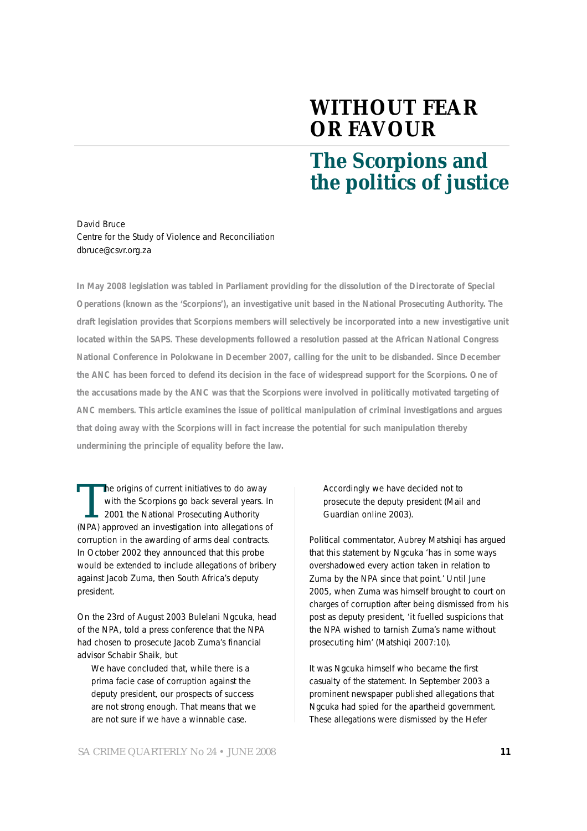## **WITHOUT FEAR OR FAVOUR**

# **The Scorpions and the politics of justice**

### David Bruce Centre for the Study of Violence and Reconciliation dbruce@csvr.org.za

**In May 2008 legislation was tabled in Parliament providing for the dissolution of the Directorate of Special Operations (known as the 'Scorpions'), an investigative unit based in the National Prosecuting Authority. The draft legislation provides that Scorpions members will selectively be incorporated into a new investigative unit located within the SAPS. These developments followed a resolution passed at the African National Congress National Conference in Polokwane in December 2007, calling for the unit to be disbanded. Since December the ANC has been forced to defend its decision in the face of widespread support for the Scorpions. One of the accusations made by the ANC was that the Scorpions were involved in politically motivated targeting of ANC members. This article examines the issue of political manipulation of criminal investigations and argues that doing away with the Scorpions will in fact increase the potential for such manipulation thereby undermining the principle of equality before the law.** 

The origins of current initiatives to do away<br>with the Scorpions go back several years.<br>2001 the National Prosecuting Authority<br>(NPA) approved an investigation into allegations with the Scorpions go back several years. In 2001 the National Prosecuting Authority (NPA) approved an investigation into allegations of corruption in the awarding of arms deal contracts. In October 2002 they announced that this probe would be extended to include allegations of bribery against Jacob Zuma, then South Africa's deputy president.

On the 23rd of August 2003 Bulelani Ngcuka, head of the NPA, told a press conference that the NPA had chosen to prosecute Jacob Zuma's financial advisor Schabir Shaik, but

We have concluded that, while there is a prima facie case of corruption against the deputy president, our prospects of success are not strong enough. That means that we are not sure if we have a winnable case.

Accordingly we have decided not to prosecute the deputy president (Mail and Guardian online 2003).

Political commentator, Aubrey Matshiqi has argued that this statement by Ngcuka 'has in some ways overshadowed every action taken in relation to Zuma by the NPA since that point.' Until June 2005, when Zuma was himself brought to court on charges of corruption after being dismissed from his post as deputy president, 'it fuelled suspicions that the NPA wished to tarnish Zuma's name without prosecuting him' (Matshiqi 2007:10).

It was Ngcuka himself who became the first casualty of the statement. In September 2003 a prominent newspaper published allegations that Ngcuka had spied for the apartheid government. These allegations were dismissed by the Hefer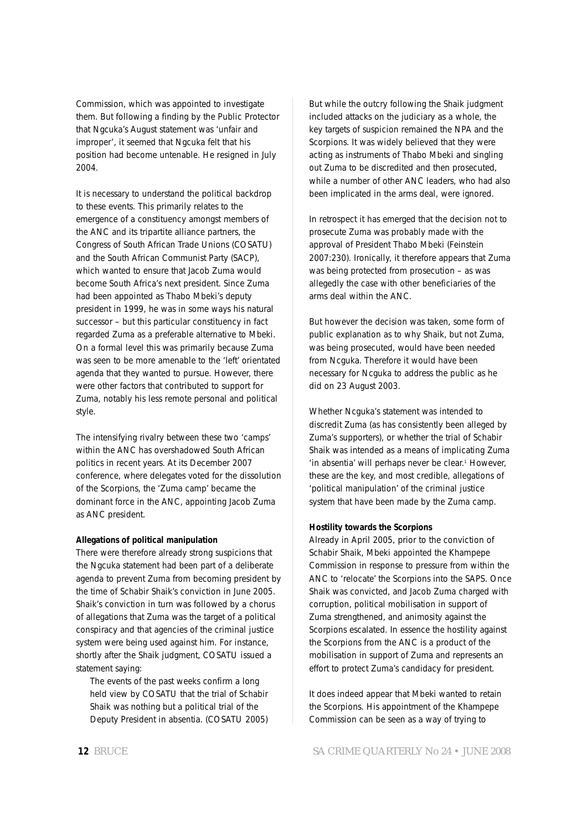Commission, which was appointed to investigate them. But following a finding by the Public Protector that Ngcuka's August statement was 'unfair and improper', it seemed that Ngcuka felt that his position had become untenable. He resigned in July 2004.

It is necessary to understand the political backdrop to these events. This primarily relates to the emergence of a constituency amongst members of the ANC and its tripartite alliance partners, the Congress of South African Trade Unions (COSATU) and the South African Communist Party (SACP), which wanted to ensure that Jacob Zuma would become South Africa's next president. Since Zuma had been appointed as Thabo Mbeki's deputy president in 1999, he was in some ways his natural successor – but this particular constituency in fact regarded Zuma as a preferable alternative to Mbeki. On a formal level this was primarily because Zuma was seen to be more amenable to the 'left' orientated agenda that they wanted to pursue. However, there were other factors that contributed to support for Zuma, notably his less remote personal and political style.

The intensifying rivalry between these two 'camps' within the ANC has overshadowed South African politics in recent years. At its December 2007 conference, where delegates voted for the dissolution of the Scorpions, the 'Zuma camp' became the dominant force in the ANC, appointing Jacob Zuma as ANC president.

#### **Allegations of political manipulation**

There were therefore already strong suspicions that the Ngcuka statement had been part of a deliberate agenda to prevent Zuma from becoming president by the time of Schabir Shaik's conviction in June 2005. Shaik's conviction in turn was followed by a chorus of allegations that Zuma was the target of a political conspiracy and that agencies of the criminal justice system were being used against him. For instance, shortly after the Shaik judgment, COSATU issued a statement saying:

The events of the past weeks confirm a long held view by COSATU that the trial of Schabir Shaik was nothing but a political trial of the Deputy President in absentia. (COSATU 2005) But while the outcry following the Shaik judgment included attacks on the judiciary as a whole, the key targets of suspicion remained the NPA and the Scorpions. It was widely believed that they were acting as instruments of Thabo Mbeki and singling out Zuma to be discredited and then prosecuted, while a number of other ANC leaders, who had also been implicated in the arms deal, were ignored.

In retrospect it has emerged that the decision not to prosecute Zuma was probably made with the approval of President Thabo Mbeki (Feinstein 2007:230). Ironically, it therefore appears that Zuma was being protected from prosecution – as was allegedly the case with other beneficiaries of the arms deal within the ANC.

But however the decision was taken, some form of public explanation as to why Shaik, but not Zuma, was being prosecuted, would have been needed from Ncguka. Therefore it would have been necessary for Ncguka to address the public as he did on 23 August 2003.

Whether Ncguka's statement was intended to discredit Zuma (as has consistently been alleged by Zuma's supporters), or whether the trial of Schabir Shaik was intended as a means of implicating Zuma 'in absentia' will perhaps never be clear.<sup>1</sup> However, these are the key, and most credible, allegations of 'political manipulation' of the criminal justice system that have been made by the Zuma camp.

#### **Hostility towards the Scorpions**

Already in April 2005, prior to the conviction of Schabir Shaik, Mbeki appointed the Khampepe Commission in response to pressure from within the ANC to 'relocate' the Scorpions into the SAPS. Once Shaik was convicted, and Jacob Zuma charged with corruption, political mobilisation in support of Zuma strengthened, and animosity against the Scorpions escalated. In essence the hostility against the Scorpions from the ANC is a product of the mobilisation in support of Zuma and represents an effort to protect Zuma's candidacy for president.

It does indeed appear that Mbeki wanted to retain the Scorpions. His appointment of the Khampepe Commission can be seen as a way of trying to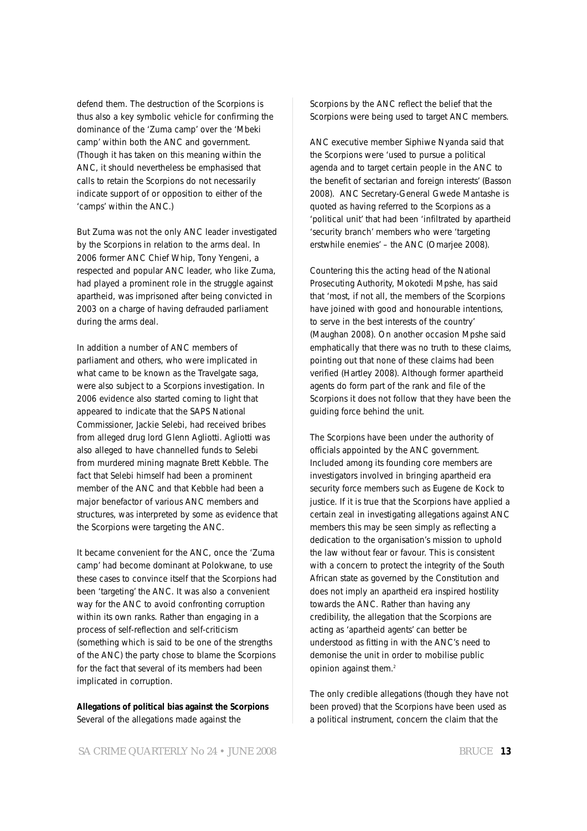defend them. The destruction of the Scorpions is thus also a key symbolic vehicle for confirming the dominance of the 'Zuma camp' over the 'Mbeki camp' within both the ANC and government. (Though it has taken on this meaning within the ANC, it should nevertheless be emphasised that calls to retain the Scorpions do not necessarily indicate support of or opposition to either of the 'camps' within the ANC.)

But Zuma was not the only ANC leader investigated by the Scorpions in relation to the arms deal. In 2006 former ANC Chief Whip, Tony Yengeni, a respected and popular ANC leader, who like Zuma, had played a prominent role in the struggle against apartheid, was imprisoned after being convicted in 2003 on a charge of having defrauded parliament during the arms deal.

In addition a number of ANC members of parliament and others, who were implicated in what came to be known as the Travelgate saga, were also subject to a Scorpions investigation. In 2006 evidence also started coming to light that appeared to indicate that the SAPS National Commissioner, Jackie Selebi, had received bribes from alleged drug lord Glenn Agliotti. Agliotti was also alleged to have channelled funds to Selebi from murdered mining magnate Brett Kebble. The fact that Selebi himself had been a prominent member of the ANC and that Kebble had been a major benefactor of various ANC members and structures, was interpreted by some as evidence that the Scorpions were targeting the ANC.

It became convenient for the ANC, once the 'Zuma camp' had become dominant at Polokwane, to use these cases to convince itself that the Scorpions had been 'targeting' the ANC. It was also a convenient way for the ANC to avoid confronting corruption within its own ranks. Rather than engaging in a process of self-reflection and self-criticism (something which is said to be one of the strengths of the ANC) the party chose to blame the Scorpions for the fact that several of its members had been implicated in corruption.

**Allegations of political bias against the Scorpions** Several of the allegations made against the

Scorpions by the ANC reflect the belief that the Scorpions were being used to target ANC members.

ANC executive member Siphiwe Nyanda said that the Scorpions were 'used to pursue a political agenda and to target certain people in the ANC to the benefit of sectarian and foreign interests' (Basson 2008). ANC Secretary-General Gwede Mantashe is quoted as having referred to the Scorpions as a 'political unit' that had been 'infiltrated by apartheid 'security branch' members who were 'targeting erstwhile enemies' – the ANC (Omarjee 2008).

Countering this the acting head of the National Prosecuting Authority, Mokotedi Mpshe, has said that 'most, if not all, the members of the Scorpions have joined with good and honourable intentions, to serve in the best interests of the country' (Maughan 2008). On another occasion Mpshe said emphatically that there was no truth to these claims, pointing out that none of these claims had been verified (Hartley 2008). Although former apartheid agents do form part of the rank and file of the Scorpions it does not follow that they have been the guiding force behind the unit.

The Scorpions have been under the authority of officials appointed by the ANC government. Included among its founding core members are investigators involved in bringing apartheid era security force members such as Eugene de Kock to justice. If it is true that the Scorpions have applied a certain zeal in investigating allegations against ANC members this may be seen simply as reflecting a dedication to the organisation's mission to uphold the law without fear or favour. This is consistent with a concern to protect the integrity of the South African state as governed by the Constitution and does not imply an apartheid era inspired hostility towards the ANC. Rather than having any credibility, the allegation that the Scorpions are acting as 'apartheid agents' can better be understood as fitting in with the ANC's need to demonise the unit in order to mobilise public opinion against them.<sup>2</sup>

The only credible allegations (though they have not been proved) that the Scorpions have been used as a political instrument, concern the claim that the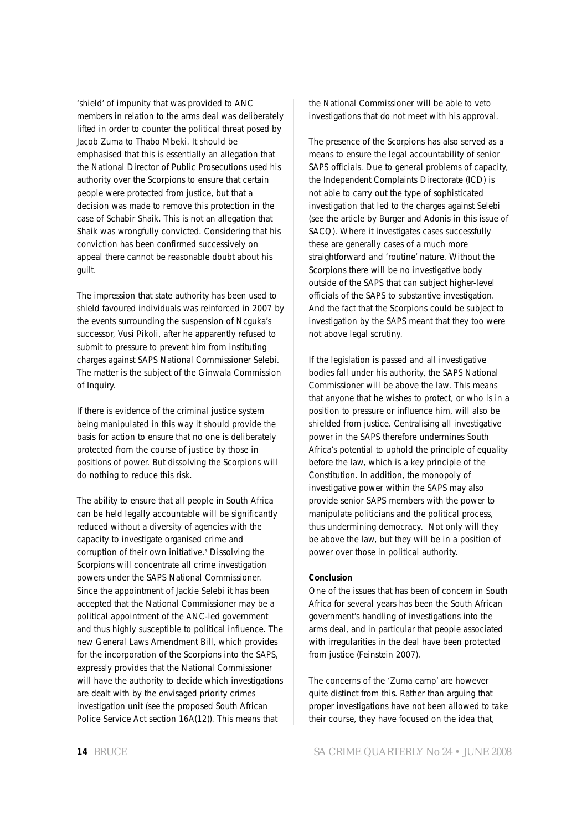'shield' of impunity that was provided to ANC members in relation to the arms deal was deliberately lifted in order to counter the political threat posed by Jacob Zuma to Thabo Mbeki. It should be emphasised that this is essentially an allegation that the National Director of Public Prosecutions used his authority over the Scorpions to ensure that certain people were protected from justice, but that a decision was made to remove this protection in the case of Schabir Shaik. This is not an allegation that Shaik was wrongfully convicted. Considering that his conviction has been confirmed successively on appeal there cannot be reasonable doubt about his guilt.

The impression that state authority has been used to shield favoured individuals was reinforced in 2007 by the events surrounding the suspension of Ncguka's successor, Vusi Pikoli, after he apparently refused to submit to pressure to prevent him from instituting charges against SAPS National Commissioner Selebi. The matter is the subject of the Ginwala Commission of Inquiry.

If there is evidence of the criminal justice system being manipulated in this way it should provide the basis for action to ensure that no one is deliberately protected from the course of justice by those in positions of power. But dissolving the Scorpions will do nothing to reduce this risk.

The ability to ensure that all people in South Africa can be held legally accountable will be significantly reduced without a diversity of agencies with the capacity to investigate organised crime and corruption of their own initiative.3 Dissolving the Scorpions will concentrate all crime investigation powers under the SAPS National Commissioner. Since the appointment of Jackie Selebi it has been accepted that the National Commissioner may be a political appointment of the ANC-led government and thus highly susceptible to political influence. The new General Laws Amendment Bill, which provides for the incorporation of the Scorpions into the SAPS, expressly provides that the National Commissioner will have the authority to decide which investigations are dealt with by the envisaged priority crimes investigation unit (see the proposed South African Police Service Act section 16A(12)). This means that

the National Commissioner will be able to veto investigations that do not meet with his approval.

The presence of the Scorpions has also served as a means to ensure the legal accountability of senior SAPS officials. Due to general problems of capacity, the Independent Complaints Directorate (ICD) is not able to carry out the type of sophisticated investigation that led to the charges against Selebi (see the article by Burger and Adonis in this issue of SACQ). Where it investigates cases successfully these are generally cases of a much more straightforward and 'routine' nature. Without the Scorpions there will be no investigative body outside of the SAPS that can subject higher-level officials of the SAPS to substantive investigation. And the fact that the Scorpions could be subject to investigation by the SAPS meant that they too were not above legal scrutiny.

If the legislation is passed and all investigative bodies fall under his authority, the SAPS National Commissioner will be above the law. This means that anyone that he wishes to protect, or who is in a position to pressure or influence him, will also be shielded from justice. Centralising all investigative power in the SAPS therefore undermines South Africa's potential to uphold the principle of equality before the law, which is a key principle of the Constitution. In addition, the monopoly of investigative power within the SAPS may also provide senior SAPS members with the power to manipulate politicians and the political process, thus undermining democracy. Not only will they be above the law, but they will be in a position of power over those in political authority.

#### **Conclusion**

One of the issues that has been of concern in South Africa for several years has been the South African government's handling of investigations into the arms deal, and in particular that people associated with irregularities in the deal have been protected from justice (Feinstein 2007).

The concerns of the 'Zuma camp' are however quite distinct from this. Rather than arguing that proper investigations have not been allowed to take their course, they have focused on the idea that,